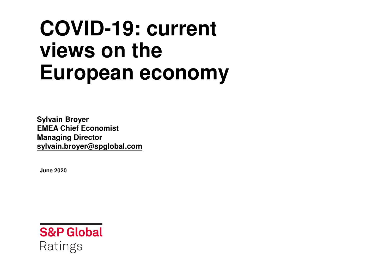# **COVID-19: current views on the European economy**

**Sylvain Broyer EMEA Chief EconomistManaging Directorsylvain.broyer@spglobal.com**

**June 2020**

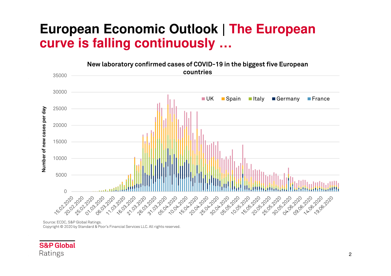### **European Economic Outlook | The European curve is falling continuously …**



Source: ECDC, S&P Global Ratings.

Copyright © <sup>2020</sup> by Standard & Poor's Financial Services LLC. All rights reserved.

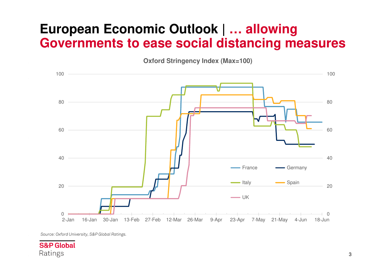### **European Economic Outlook | … allowing Governments to ease social distancing measures**

**Oxford Stringency Index (Max=100)**



*Source: Oxford University, S&P Global Ratings.*

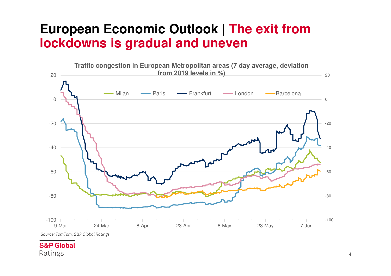### **European Economic Outlook | The exit from lockdowns is gradual and uneven**



**S&P Global** Ratings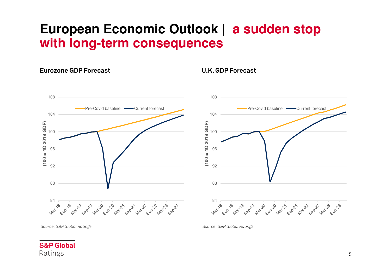### **European Economic Outlook | a sudden stop with long-term consequences**

#### **Eurozone GDP Forecast U.K. GDP Forecast**



*Source: S&P Global Ratings*

*Source: S&P Global Ratings*

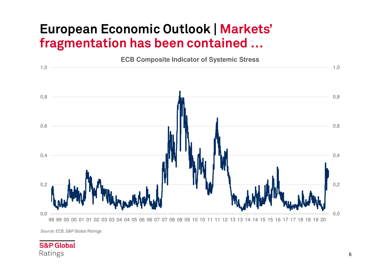### **European Economic Outlook | Markets' fragmentation has been contained …**



*Source: ECB, S&P Global Ratings*

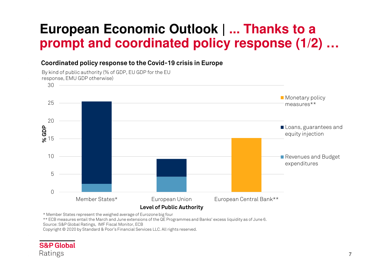## **European Economic Outlook | ... Thanks to a prompt and coordinated policy response (1/2) …**

#### **Coordinated policy response to the Covid-19 crisis in Europe**

By kind of public authority (% of GDP, EU GDP for the EU response, EMU GDP otherwise)



\* Member States represent the weighed average of Eurozone big four

\*\* ECB measures entail the March and June extensions of the QE Programmes and Banks' excess liquidity as of June 6.

Source: S&P Global Ratings, IMF Fiscal Monitor, ECB

Copyright © 2020 by Standard & Poor's Financial Services LLC. All rights reserved.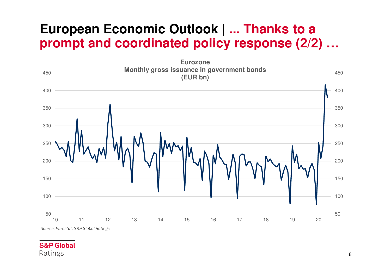### **European Economic Outlook | ... Thanks to a prompt and coordinated policy response (2/2) …**

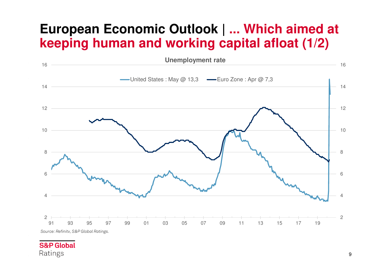### **European Economic Outlook | ... Which aimed at keeping human and working capital afloat (1/2)**

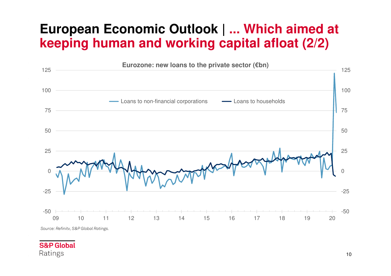## **European Economic Outlook | ... Which aimed at keeping human and working capital afloat (2/2)**

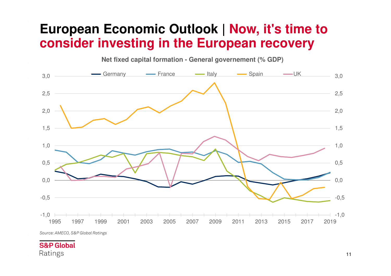### **European Economic Outlook | Now, it's time to consider investing in the European recovery**



*Source: AMECO, S&P Global Ratings*

#### **S&P Global** Ratings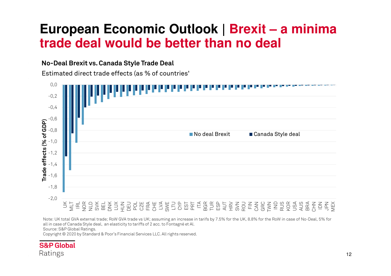### **European Economic Outlook | Brexit – a minima trade deal would be better than no deal**

#### **No-Deal Brexit vs. Canada Style Trade Deal**

Estimated direct trade effects (as % of countries'



Note: UK total GVA external trade; RoW GVA trade vs UK; assuming an increase in tarifs by 7.5% for the UK, 8.8% for the RoW in case of No-Deal, 5% for all in case of Canada Style deal, an elasticity to tariffs of <sup>2</sup> acc. to Fontagné et Al. Source: S&P Global Ratings.

Copyright © <sup>2020</sup> by Standard & Poor's Financial Services LLC. All rights reserved.

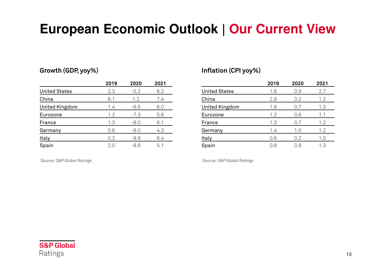## **European Economic Outlook | Our Current View**

#### **Growth (GDP, yoy%) Inflation (CPI yoy%)**

|                      | 2019 | 2020   | 2021 |
|----------------------|------|--------|------|
| <b>United States</b> | 2.3  | $-5.2$ | 6.2  |
| China                | 6.1  | 1.2    | 7.4  |
| United Kingdom       | 1.4  | $-6.5$ | 6.0  |
| Eurozone             | 1.2  | $-7.3$ | 5.6  |
| France               | 1.3  | $-8.0$ | 6.1  |
| Germany              | 0.6  | $-6.0$ | 4.3  |
| Italy                | 0.2  | $-9.9$ | 6.4  |
| Spain                | 2.0  | $-8.8$ | 5.1  |

*Source: S&P Global Ratings*

|                      | 2019 | 2020 | 2021 |
|----------------------|------|------|------|
| <b>United States</b> | 1.8  | 0.9  | 2.7  |
| China                | 2.9  | 3.2  | 1.2  |
| United Kingdom       | 1.8  | 0.7  | 1.3  |
| Eurozone             | 1.2  | 0.6  | 1.1  |
| France               | 1.3  | 0.7  | 1.2  |
| Germany              | 1.4  | 1.0  | 1.2  |
| <b>Italy</b>         | 0.6  | 0.2  | 1.0  |
| Spain                | 0.8  | 0.8  | 1.3  |

*Source: S&P Global Ratings*